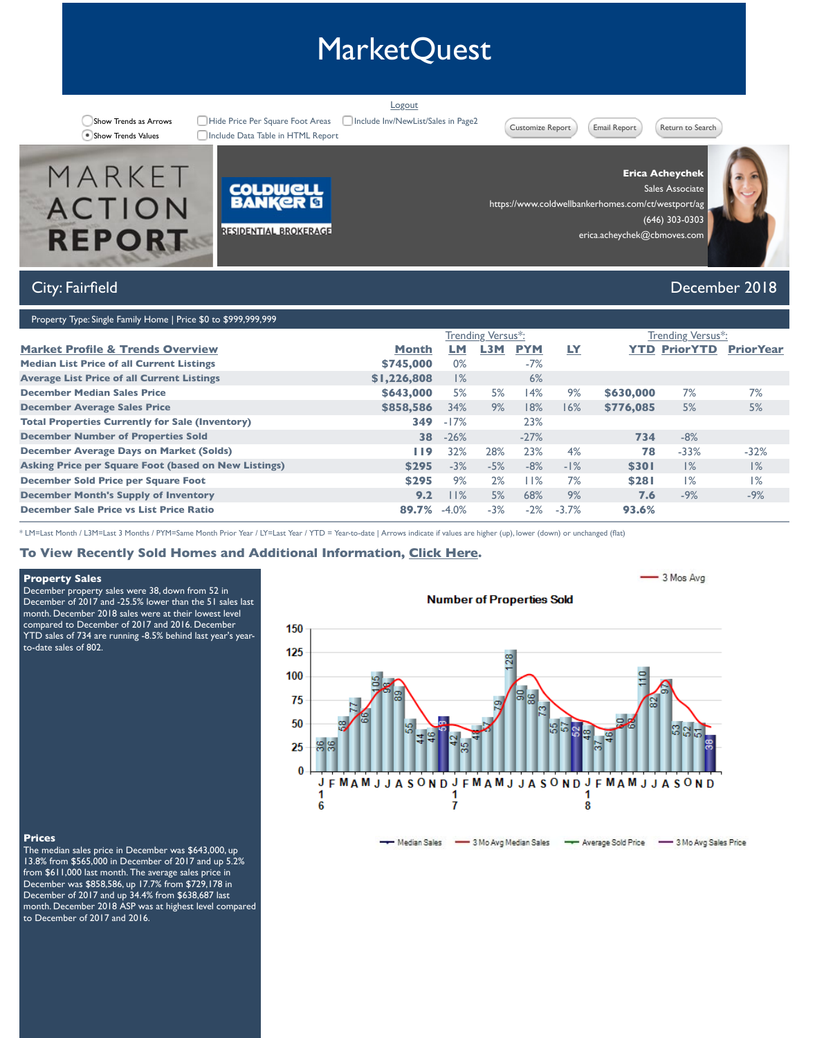| \$858,586 | 34%    |         |
|-----------|--------|---------|
| 349       | $-17%$ |         |
| 38        | $-26%$ |         |
| I 19      | 32%    | 28      |
| \$295     | $-3%$  |         |
| \$295     | 9%     |         |
| 9.2       | 11%    |         |
| 89.7%     |        |         |
|           |        | $-4.0%$ |

\* LM=Last Month / L3M=Last 3 Months / PYM=Same Month Prior Year / LY=Last Year / YTD = Year-to-date | Arrows indicate if values are higher

# **To View Recently Sold Homes and Additional Information, Click Here.**

### **Property Sales**

December property sales were 38, down from 52 in December of 2017 and -25.5% lower than the 51 sales last month. December 2018 sales were at their lowest level compared to December of 2017 and 2016. December YTD sales of 734 are running -8.5% behind last year's yearto-date sales of 802.

# **Number of P**



#### **Prices**

The median sales price in December was \$643,000, up 13.8% from \$565,000 in December of 2017 and up 5.2% from \$611,000 last month. The average sales price in December was \$858,586, up 17.7% from \$729,178 in December of 2017 and up 34.4% from \$638,687 last month. December 2018 ASP was at highest level compared to December of 2017 and 2016.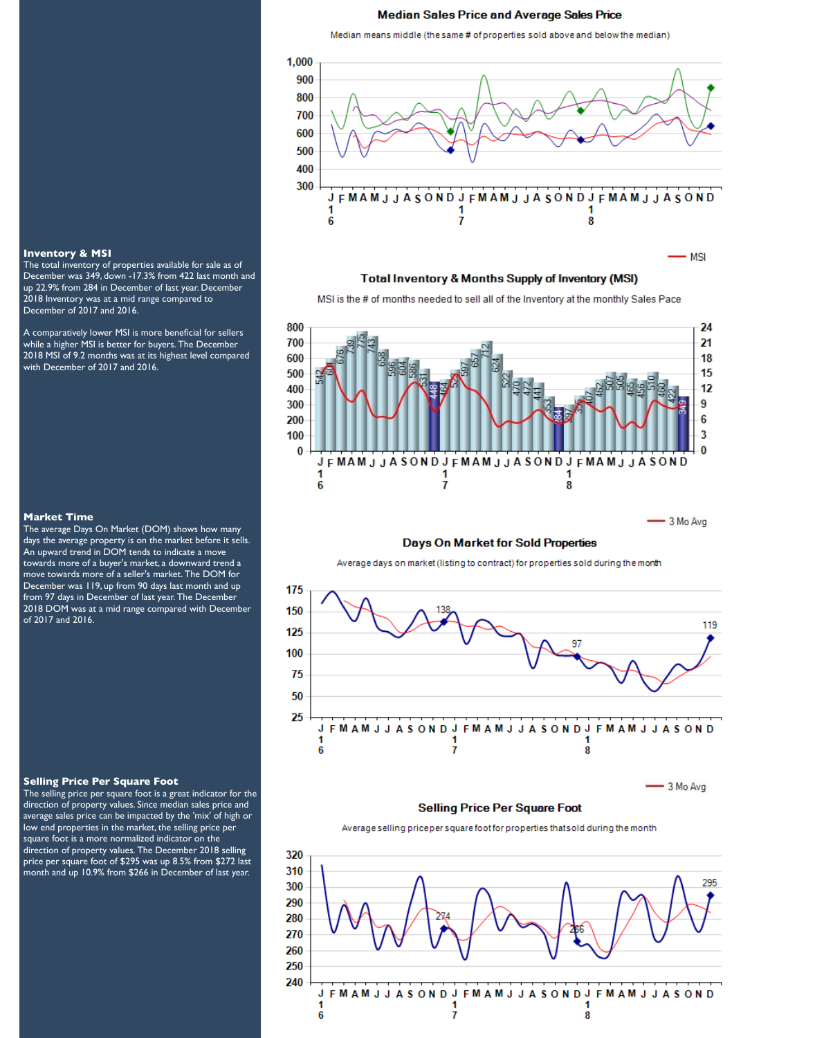#### **Median Sales Price and Average Sales Price**

Median means middle (the same # of properties sold above and below the median)



#### Total Inventory & Months Supply of Inventory (MSI)

MSI is the # of months needed to sell all of the Inventory at the monthly Sales Pace



### **Days On Market for Sold Properties**

Average days on market (listing to contract) for properties sold during the month



#### **Inventory & MSI**

The total inventory of properties available for sale as of December was 349, down -17.3% from 422 last month and up 22.9% from 284 in December of last year. December 2018 Inventory was at a mid range compared to December of 2017 and 2016.

A comparatively lower MSI is more beneficial for sellers while a higher MSI is better for buyers. The December 2018 MSI of 9.2 months was at its highest level compared with December of 2017 and 2016.

#### **Market Time**

The average Days On Market (DOM) shows how many days the average property is on the market before it sells. An upward trend in DOM tends to indicate a move towards more of a buyer's market, a downward trend a move towards more of a seller's market. The DOM for December was 119, up from 90 days last month and up from 97 days in December of last year. The December 2018 DOM was at a mid range compared with December of 2017 and 2016.

#### **Selling Price Per Square Foot**

The selling price per square foot is a great indicator for the direction of property values. Since median sales price and average sales price can be impacted by the 'mix' of high or low end properties in the market, the selling price per square foot is a more normalized indicator on the direction of property values. The December 2018 selling price per square foot of \$295 was up 8.5% from \$272 last month and up 10.9% from \$266 in December of last year.

#### **FMAMJJASOND FMAMJJASONDJ** F M A M J J A S O N D J υ 1 1 1 6 7 8

 $-3$  Mo Avg

# **Selling Price Per Square Foot**

Average selling priceper square foot for properties that sold during the month